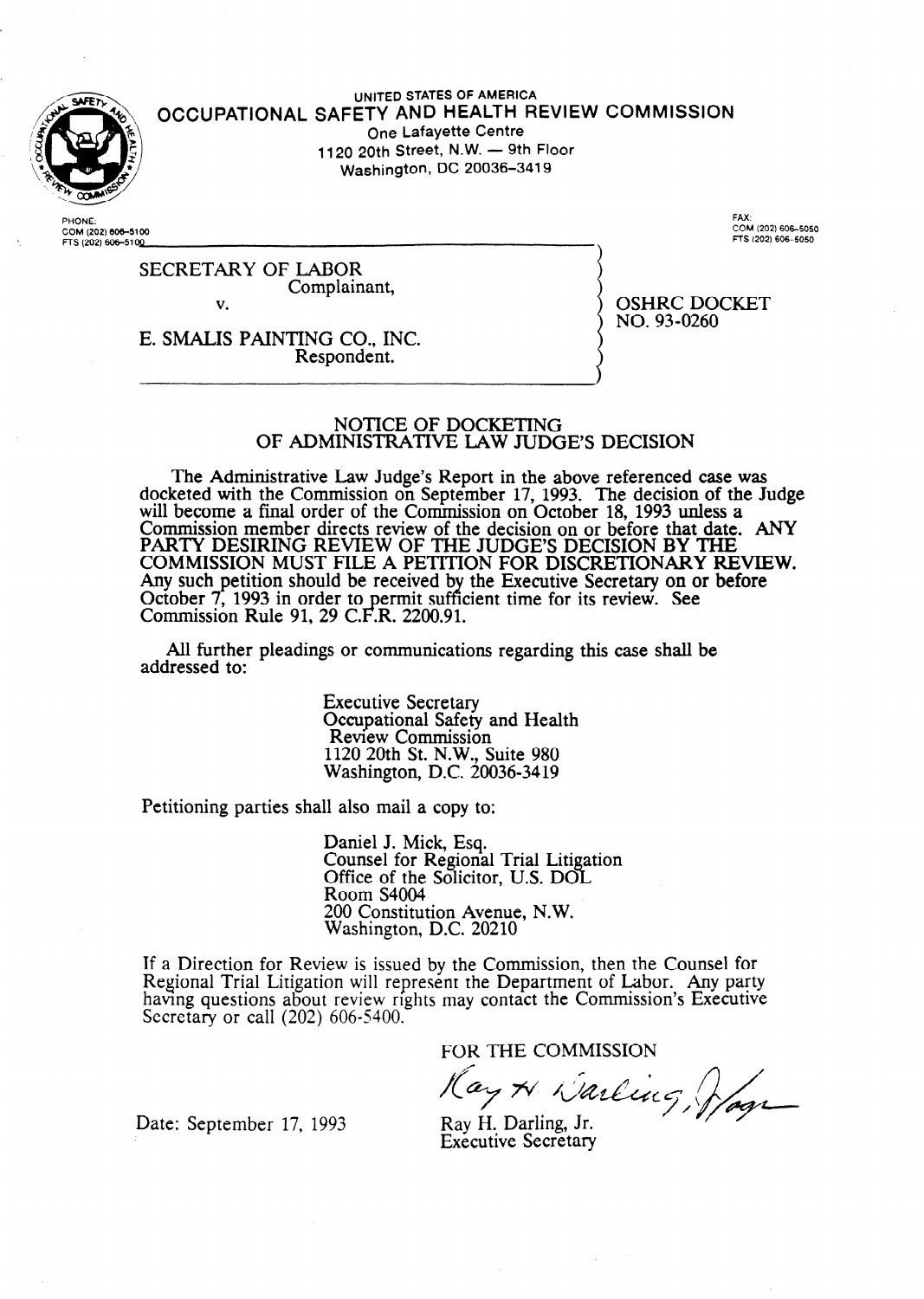

**.** 

#### **UNITED STATES OF AMERICA OCCUPATIONAL SAFETY** AND HEALTH REVIEW **COMMISSION One Lafayette Centre**  1120 20th Street, N.W. - 9th Floor **Washington, DC 20036-3419**

**PHONE:**  COM (202) 606-5100 **iTS(202)60&51QQ** 

**FAX: COM (202) 606-5050 fls (202)60&5050** 

SECRETARY OF LABOR Complainant, v.

OSHRC DOCKET NO. 93-0260

E. SMALIS PAINTING CO., INC. Respondent.

#### NOTICE OF DOCKETING OF ADMINISTRATIVE LA\N JUDGE'S DECISION

The Administrative Law Judge's Report in the above referenced case was docketed with the Commission on September 17, 1993. The decision of the Judge will become a final order of the Commission on October 18, 1993 unless a Commission member directs review of the decision on or before that date. ANY PARTY DESIRING REVIEW OF THE JUDGE'S DECISION BY THE COMMISSION MUST FILE A PETITION FOR DISCRETIONARY REVIEW. Any such petition should be received by the Executive Secretary on or before October 7, 1993 in order to  ${\bf F}.{\bf F}$ ermit sufficient time for its review. See Commission Rule 91, 29 C.F.R. 2200.91.

All further pleadings or communications regarding this case shall be addressed to:

> Executive Secretary Occupational Safety and Health Review Commission 1120 20th St. N.W., Suite 980 Washington, D.C. 20036-3419

Petitioning parties shall also mail a copy to:

Daniel J. Mick, Esq. Counsel for Regional Trial Litigation Office of the Solicitor, U.S. DOL Room S4004 200 Constitution Avenue, N. W. Washington, D.C. 20210

If a Direction for Review is issued by the Commission, then the Counsel for Regional Trial Litigation will represent the Department of Labor. Any party having questions about review rights may contact the Commission's Executive Secretary or call (202) 606-5400.

FOR THE COMMISSION<br>Hay A Narling, Joy

Date: September 17, 1993 Ray H. Darling, Jr.

Executive Secretary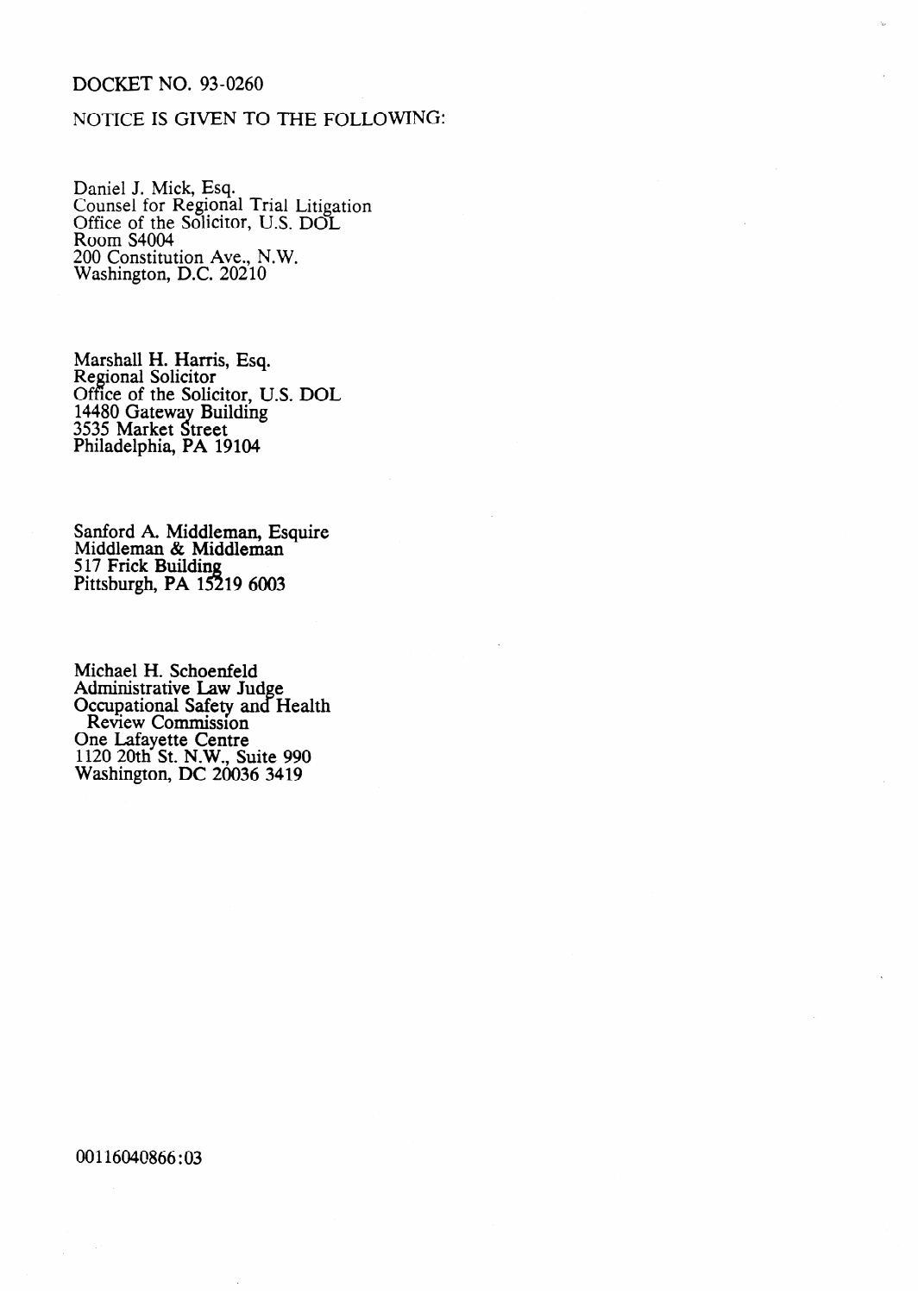# DOCKET NO. 93-0260

## NOTICE IS GIVEN TO THE FOLLOWING:

Daniel J. Mick, Esq. Counsel for Regional Trial Litigation Office of the Solicitor, U.S. DOL Room S4004  $200$  Constitution Ave., N.W. Washington, D.C. 20210

Marshall H. Harris, Esq. Regional Solicitor Office of the Solicitor, U.S. DOL 14480 Gateway Building 3535 Market Street Philadelphia, PA 19104

Sanford A. Middleman, Esquire Middleman & Middleman 517 Frick Building Pittsburgh, P $A$  15219 6003

Michael H. Schoenfeld Administrative Law Jud Occupational Safety and e. **Health** Review Commission One Lafayette Centre 1120 20th St. N.W., Suite 990 Washington, DC 20036 3419

00116040866:03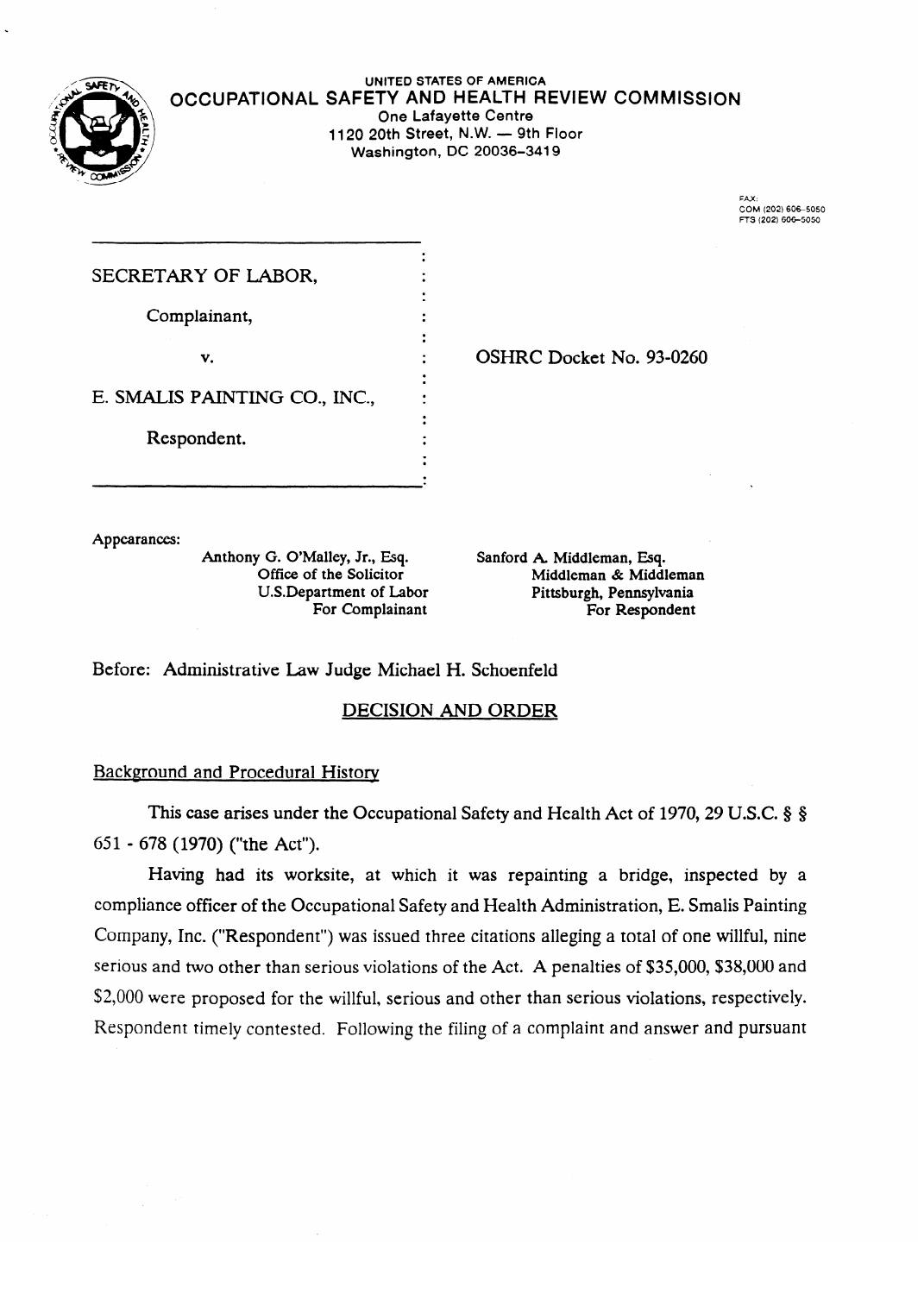

**UNITED STATES OF AMERICA OCCUPATIONAL** SAFETY AND HEALTH REVIEW **COMMISSION One Lafayette Centre**<br>**1120 20th Street, N.W. — 9th Floor 1120 20th Street, N.W. - 9th Floor Washington, DC 20036-3419** 

> **FAX: FTS (202) 606-5050**

| SECRETARY OF LABOR,           |  |
|-------------------------------|--|
| Complainant,                  |  |
| v.                            |  |
| E. SMALIS PAINTING CO., INC., |  |
| Respondent.                   |  |

Appearances:

Anthony G. O'Malley, Jr., Esq. Anthony G. O. Oriented A Middleman, S. Middleman, & Middleman, Esq. Sanford A. Middleman, Esq. Sanford A. Middleman, Esq. Sanford A. Middleman, Esq. Sanford A. Middleman, Esq. Sanford A. Middleman, Esq. Sanford A. Middlema

OSHRC Docket No. 93-0260

Sanford A. Middleman, Esq. O.S.Department of Eabor Middleman Pittsburgh, Pennsylvania For Complainant **For Respondent** 

Before: Administrative Law Judge Michael H. Schoenfeld

# **DECISION AND ORDER**

### **Background and Procedural History**

This case arises under the Occupational Safety and Health Act of 1970, 29 U.S.C.  $\S$   $\S$ 651 - 678 (1970) ("the Act").

Having had its worksite, at which it was repainting a bridge, inspected by a compliance officer of the Occupational Safety and Health Administration, E. Smalis Painting Company, Inc. ("Respondent") was issued three citations alleging a total of one willful, nine serious and two other than serious violations of the Act. A penalties of \$35,000, \$38,000 and \$2,000 were proposed for the willful, serious and other than serious violations, respectively. Respondent timely contested. Following the filing of a complaint and answer and pursuant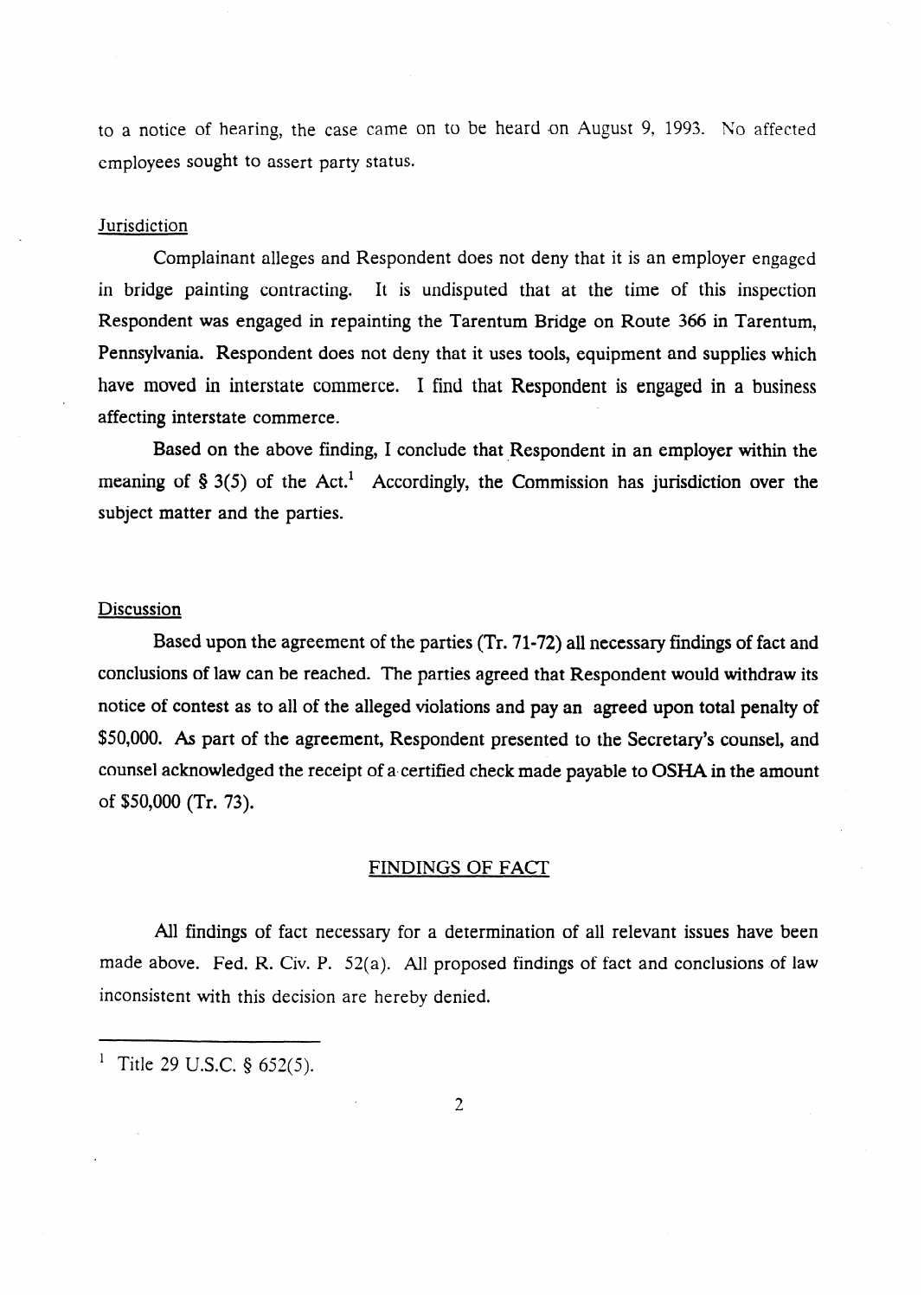to a notice of hearing, the case came on to be heard on August 9, 1993. No affected employees sought to assert party status.

### **Jurisdiction**

Complainant alleges and Respondent does not deny that it is an employer engaged in bridge painting contracting. It is undisputed that at the time of this inspection Respondent was engaged in repainting the Tarentum Bridge on Route 366 in Tarentum, Pennsylvania. Respondent does not deny that it uses tools, equipment and supplies which have moved in interstate commerce. I find that Respondent is engaged in a business affecting interstate commerce.

Based on the above finding, I conclude that Respondent in an employer within the meaning of  $\S 3(5)$  of the Act.<sup>1</sup> Accordingly, the Commission has jurisdiction over the subject matter and the parties.

### Discussion

Based upon the agreement of the parties (Tr. 71-72) all necessary findings of fact and conclusions of law can be reached. The parties agreed that Respondent would withdraw its notice of contest as to all of the alleged violations and pay an agreed upon total penalty of \$50,000. As part of the agreement, Respondent presented to the Secretary's counsel, and counsel acknowledged the receipt of a certified check made payable to OSHA in the amount of \$50,000 (Tr. 73).

#### FINDINGS OF FACT

All findings of fact necessary for a determination of all relevant issues have been made above. Fed. R. Civ. P.  $52(a)$ . All proposed findings of fact and conclusions of law inconsistent with this decision are hereby denied.

<sup>&</sup>lt;sup>1</sup> Title 29 U.S.C. § 652(5).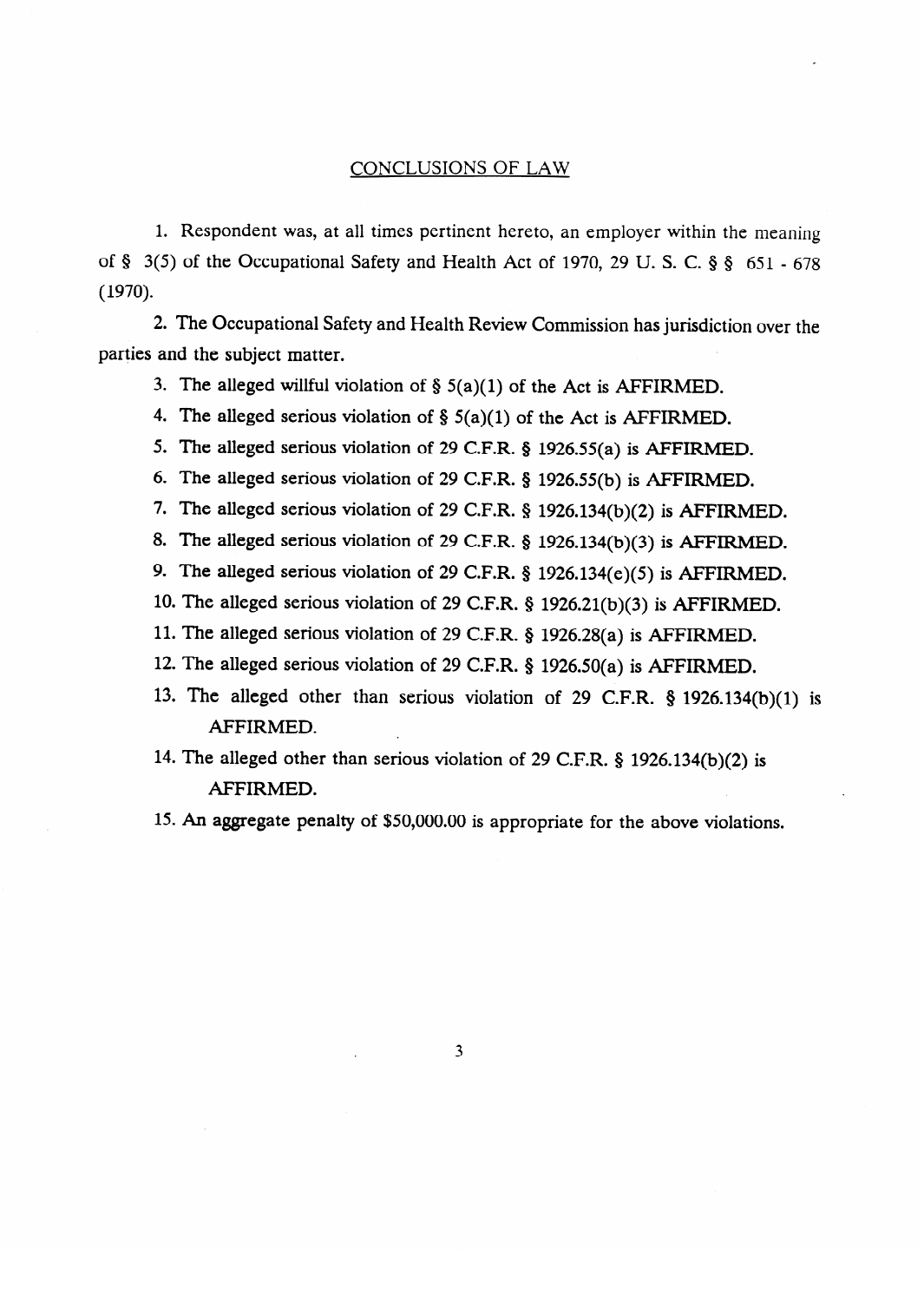### CONCLUSIONS OF LAW

1. Respondent was, at all times pertinent hereto, an employer within the meaning of § 3(5) of the Occupational Safety and Health Act of 1970, 29 U.S. C. § § 651 - 678 (1970).  $\sum_{i=1}^{n}$ 

2. The Occupational Safety and Health Review Commission has jurisdiction over the parties and the subject matter.

3. The alleged willful violation of  $\S$  5(a)(1) of the Act is AFFIRMED.

4. The alleged serious violation of  $\S$  5(a)(1) of the Act is AFFIRMED.

5. The alleged serious violation of 29 C.F.R.  $\S$  1926.55(a) is AFFIRMED.

 $\epsilon$ . The alleged serious violation of 20 CED  $\epsilon$  1026 55(b) is AFFIRMED.

The alleged serious violation of 29 CED  $\overline{k}$  1026 124(b)(2) is AFFIDM

8. The alleged serious violation of 29 C.F.R. 8 1926 134(b)(3) is AFFIRMED.

9. The alleged serious violation of 29 C F R  $\,$  8 1926 134(e)(5) is AFFIRMED.

10. The alleged serious violation of 29 C.F.R.  $\frac{1}{2}$  1926.21(b)(3) is AFFIRMED.

11. The alleged serious violation of 29 C.F.R.  $\frac{6}{5}$  1926.28(a) is AFFIRMED.

12. The alleged serious violation of 29 C.F.R. § 1926.50(a) is AFFIRMED

13. The alleged other than serious violation of 29 C.F.R.  $§$  1926.134 AFFIRMED.

14. The alleged other than serious violation of 29 C.F.R. § 1926.134(b)(2) is AFFIRMED.

15. An aggregate penalty of \$50,000.00 is appropriate for the above violations.